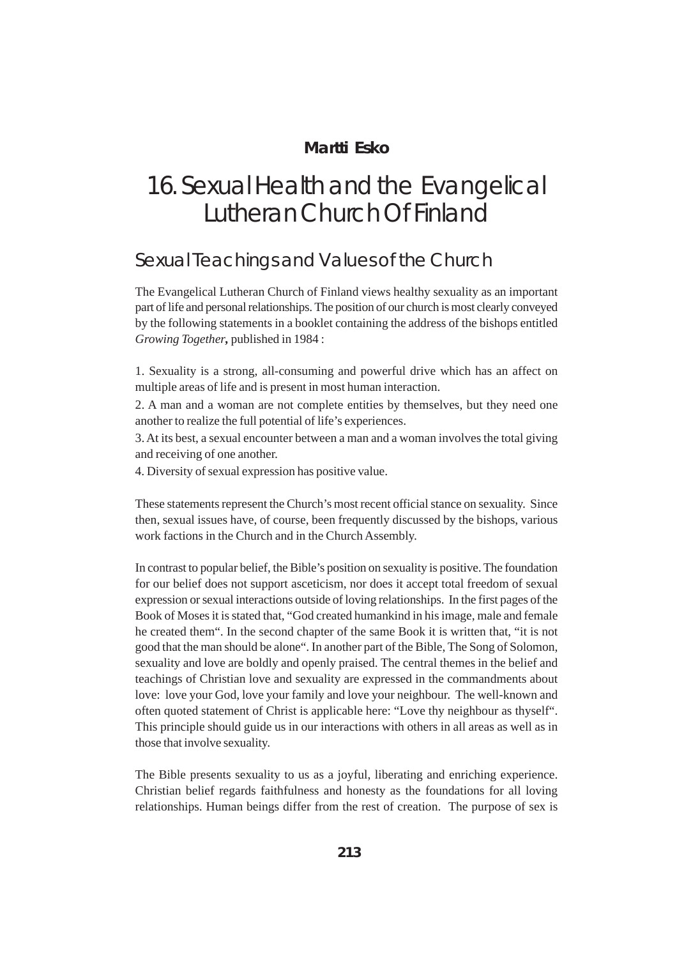## **Martti Esko**

## 16. Sexual Health and the Evangelical Lutheran Church Of Finland

## Sexual Teachings and Values of the Church

The Evangelical Lutheran Church of Finland views healthy sexuality as an important part of life and personal relationships. The position of our church is most clearly conveyed by the following statements in a booklet containing the address of the bishops entitled *Growing Together,* published in 1984 :

1. Sexuality is a strong, all-consuming and powerful drive which has an affect on multiple areas of life and is present in most human interaction.

2. A man and a woman are not complete entities by themselves, but they need one another to realize the full potential of life's experiences.

3. At its best, a sexual encounter between a man and a woman involves the total giving and receiving of one another.

4. Diversity of sexual expression has positive value.

These statements represent the Church's most recent official stance on sexuality. Since then, sexual issues have, of course, been frequently discussed by the bishops, various work factions in the Church and in the Church Assembly.

In contrast to popular belief, the Bible's position on sexuality is positive. The foundation for our belief does not support asceticism, nor does it accept total freedom of sexual expression or sexual interactions outside of loving relationships. In the first pages of the Book of Moses it is stated that, "God created humankind in his image, male and female he created them". In the second chapter of the same Book it is written that, "it is not good that the man should be alone". In another part of the Bible, The Song of Solomon, sexuality and love are boldly and openly praised. The central themes in the belief and teachings of Christian love and sexuality are expressed in the commandments about love: love your God, love your family and love your neighbour. The well-known and often quoted statement of Christ is applicable here: "Love thy neighbour as thyself". This principle should guide us in our interactions with others in all areas as well as in those that involve sexuality.

The Bible presents sexuality to us as a joyful, liberating and enriching experience. Christian belief regards faithfulness and honesty as the foundations for all loving relationships. Human beings differ from the rest of creation. The purpose of sex is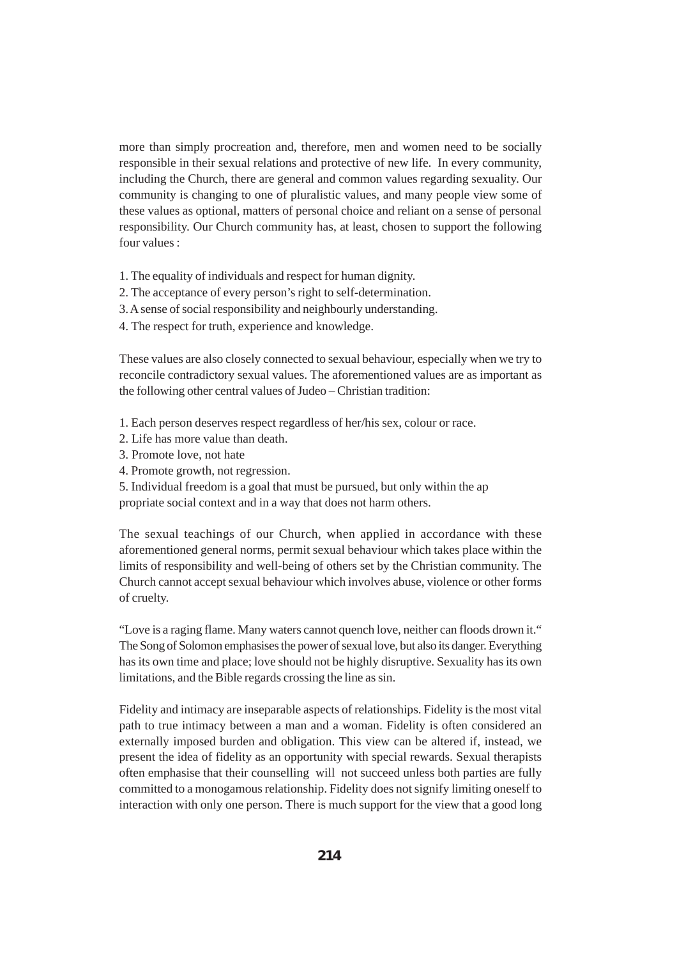more than simply procreation and, therefore, men and women need to be socially responsible in their sexual relations and protective of new life. In every community, including the Church, there are general and common values regarding sexuality. Our community is changing to one of pluralistic values, and many people view some of these values as optional, matters of personal choice and reliant on a sense of personal responsibility. Our Church community has, at least, chosen to support the following four values :

- 1. The equality of individuals and respect for human dignity.
- 2. The acceptance of every person's right to self-determination.
- 3. A sense of social responsibility and neighbourly understanding.
- 4. The respect for truth, experience and knowledge.

These values are also closely connected to sexual behaviour, especially when we try to reconcile contradictory sexual values. The aforementioned values are as important as the following other central values of Judeo – Christian tradition:

1. Each person deserves respect regardless of her/his sex, colour or race.

- 2. Life has more value than death.
- 3. Promote love, not hate
- 4. Promote growth, not regression.

5. Individual freedom is a goal that must be pursued, but only within the ap propriate social context and in a way that does not harm others.

The sexual teachings of our Church, when applied in accordance with these aforementioned general norms, permit sexual behaviour which takes place within the limits of responsibility and well-being of others set by the Christian community. The Church cannot accept sexual behaviour which involves abuse, violence or other forms of cruelty.

"Love is a raging flame. Many waters cannot quench love, neither can floods drown it." The Song of Solomon emphasises the power of sexual love, but also its danger. Everything has its own time and place; love should not be highly disruptive. Sexuality has its own limitations, and the Bible regards crossing the line as sin.

Fidelity and intimacy are inseparable aspects of relationships. Fidelity is the most vital path to true intimacy between a man and a woman. Fidelity is often considered an externally imposed burden and obligation. This view can be altered if, instead, we present the idea of fidelity as an opportunity with special rewards. Sexual therapists often emphasise that their counselling will not succeed unless both parties are fully committed to a monogamous relationship. Fidelity does not signify limiting oneself to interaction with only one person. There is much support for the view that a good long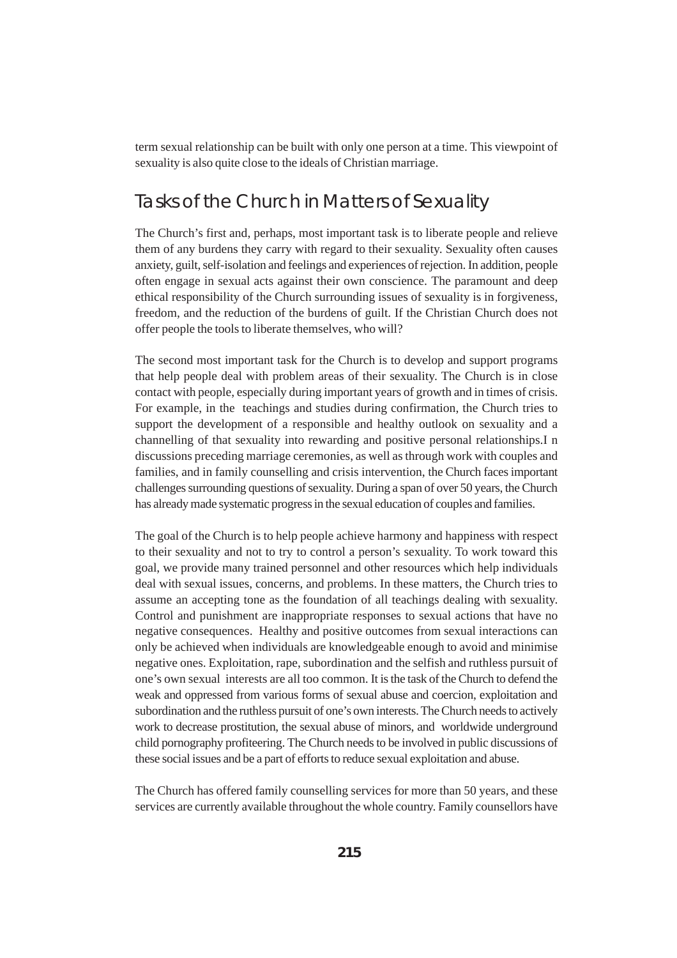term sexual relationship can be built with only one person at a time. This viewpoint of sexuality is also quite close to the ideals of Christian marriage.

## Tasks of the Church in Matters of Sexuality

The Church's first and, perhaps, most important task is to liberate people and relieve them of any burdens they carry with regard to their sexuality. Sexuality often causes anxiety, guilt, self-isolation and feelings and experiences of rejection. In addition, people often engage in sexual acts against their own conscience. The paramount and deep ethical responsibility of the Church surrounding issues of sexuality is in forgiveness, freedom, and the reduction of the burdens of guilt. If the Christian Church does not offer people the tools to liberate themselves, who will?

The second most important task for the Church is to develop and support programs that help people deal with problem areas of their sexuality. The Church is in close contact with people, especially during important years of growth and in times of crisis. For example, in the teachings and studies during confirmation, the Church tries to support the development of a responsible and healthy outlook on sexuality and a channelling of that sexuality into rewarding and positive personal relationships.I n discussions preceding marriage ceremonies, as well as through work with couples and families, and in family counselling and crisis intervention, the Church faces important challenges surrounding questions of sexuality. During a span of over 50 years, the Church has already made systematic progress in the sexual education of couples and families.

The goal of the Church is to help people achieve harmony and happiness with respect to their sexuality and not to try to control a person's sexuality. To work toward this goal, we provide many trained personnel and other resources which help individuals deal with sexual issues, concerns, and problems. In these matters, the Church tries to assume an accepting tone as the foundation of all teachings dealing with sexuality. Control and punishment are inappropriate responses to sexual actions that have no negative consequences. Healthy and positive outcomes from sexual interactions can only be achieved when individuals are knowledgeable enough to avoid and minimise negative ones. Exploitation, rape, subordination and the selfish and ruthless pursuit of one's own sexual interests are all too common. It is the task of the Church to defend the weak and oppressed from various forms of sexual abuse and coercion, exploitation and subordination and the ruthless pursuit of one's own interests. The Church needs to actively work to decrease prostitution, the sexual abuse of minors, and worldwide underground child pornography profiteering. The Church needs to be involved in public discussions of these social issues and be a part of efforts to reduce sexual exploitation and abuse.

The Church has offered family counselling services for more than 50 years, and these services are currently available throughout the whole country. Family counsellors have